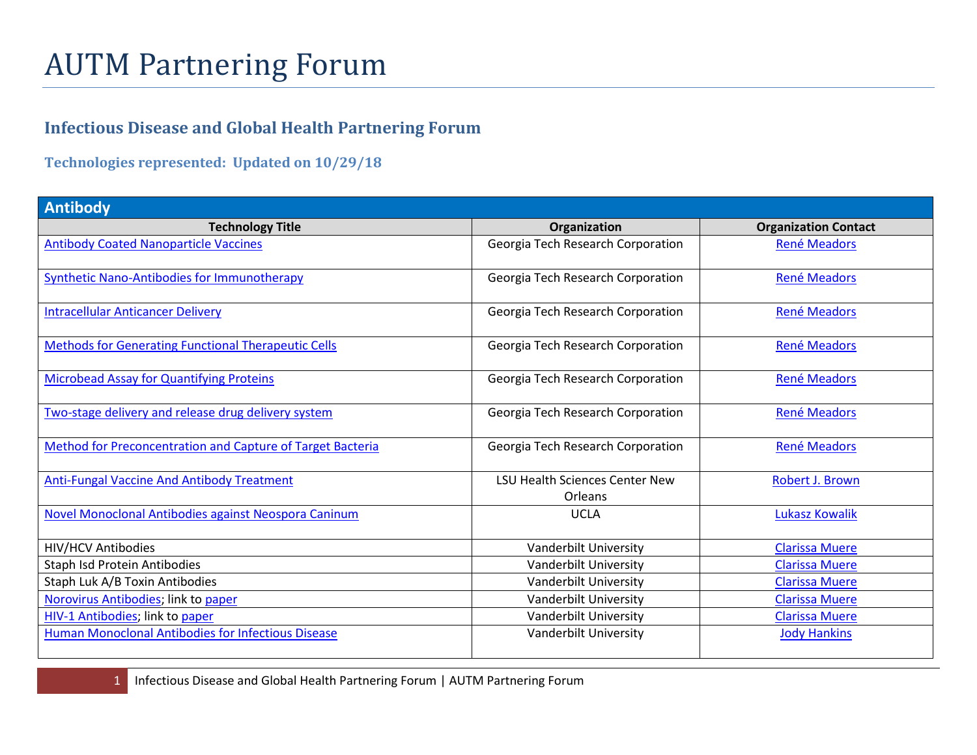## AUTM Partnering Forum

## **Infectious Disease and Global Health Partnering Forum**

**Technologies represented: Updated on 10/29/18**

| <b>Antibody</b>                                            |                                                  |                             |
|------------------------------------------------------------|--------------------------------------------------|-----------------------------|
| <b>Technology Title</b>                                    | Organization                                     | <b>Organization Contact</b> |
| <b>Antibody Coated Nanoparticle Vaccines</b>               | Georgia Tech Research Corporation                | <b>René Meadors</b>         |
| <b>Synthetic Nano-Antibodies for Immunotherapy</b>         | Georgia Tech Research Corporation                | <b>René Meadors</b>         |
| <b>Intracellular Anticancer Delivery</b>                   | Georgia Tech Research Corporation                | <b>René Meadors</b>         |
| <b>Methods for Generating Functional Therapeutic Cells</b> | Georgia Tech Research Corporation                | <b>René Meadors</b>         |
| <b>Microbead Assay for Quantifying Proteins</b>            | Georgia Tech Research Corporation                | <b>René Meadors</b>         |
| Two-stage delivery and release drug delivery system        | Georgia Tech Research Corporation                | <b>René Meadors</b>         |
| Method for Preconcentration and Capture of Target Bacteria | Georgia Tech Research Corporation                | <b>René Meadors</b>         |
| <b>Anti-Fungal Vaccine And Antibody Treatment</b>          | <b>LSU Health Sciences Center New</b><br>Orleans | Robert J. Brown             |
| Novel Monoclonal Antibodies against Neospora Caninum       | <b>UCLA</b>                                      | <b>Lukasz Kowalik</b>       |
| <b>HIV/HCV Antibodies</b>                                  | Vanderbilt University                            | <b>Clarissa Muere</b>       |
| Staph Isd Protein Antibodies                               | Vanderbilt University                            | <b>Clarissa Muere</b>       |
| Staph Luk A/B Toxin Antibodies                             | Vanderbilt University                            | <b>Clarissa Muere</b>       |
| Norovirus Antibodies; link to paper                        | Vanderbilt University                            | <b>Clarissa Muere</b>       |
| HIV-1 Antibodies; link to paper                            | Vanderbilt University                            | <b>Clarissa Muere</b>       |
| Human Monoclonal Antibodies for Infectious Disease         | Vanderbilt University                            | <b>Jody Hankins</b>         |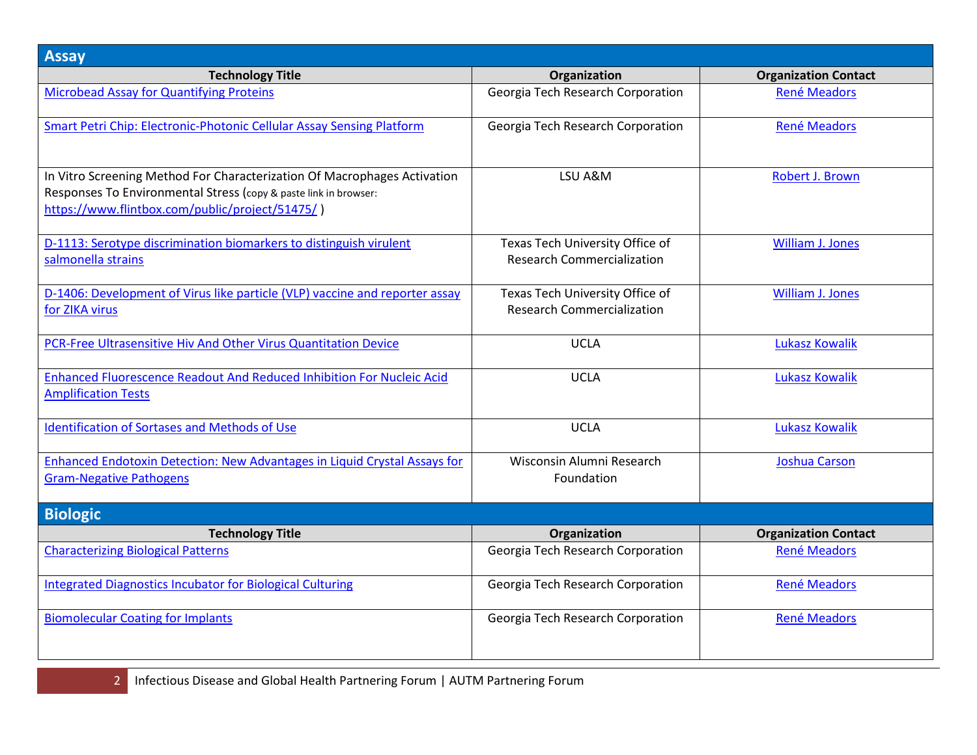| <b>Assay</b>                                                                                                                                                                                    |                                                                      |                             |
|-------------------------------------------------------------------------------------------------------------------------------------------------------------------------------------------------|----------------------------------------------------------------------|-----------------------------|
| <b>Technology Title</b>                                                                                                                                                                         | Organization                                                         | <b>Organization Contact</b> |
| <b>Microbead Assay for Quantifying Proteins</b>                                                                                                                                                 | Georgia Tech Research Corporation                                    | <b>René Meadors</b>         |
| Smart Petri Chip: Electronic-Photonic Cellular Assay Sensing Platform                                                                                                                           | Georgia Tech Research Corporation                                    | <b>René Meadors</b>         |
| In Vitro Screening Method For Characterization Of Macrophages Activation<br>Responses To Environmental Stress (copy & paste link in browser:<br>https://www.flintbox.com/public/project/51475/) | LSU A&M                                                              | Robert J. Brown             |
| D-1113: Serotype discrimination biomarkers to distinguish virulent<br>salmonella strains                                                                                                        | Texas Tech University Office of<br><b>Research Commercialization</b> | <b>William J. Jones</b>     |
| D-1406: Development of Virus like particle (VLP) vaccine and reporter assay<br>for ZIKA virus                                                                                                   | Texas Tech University Office of<br><b>Research Commercialization</b> | <b>William J. Jones</b>     |
| PCR-Free Ultrasensitive Hiv And Other Virus Quantitation Device                                                                                                                                 | <b>UCLA</b>                                                          | <b>Lukasz Kowalik</b>       |
| Enhanced Fluorescence Readout And Reduced Inhibition For Nucleic Acid<br><b>Amplification Tests</b>                                                                                             | <b>UCLA</b>                                                          | <b>Lukasz Kowalik</b>       |
| <b>Identification of Sortases and Methods of Use</b>                                                                                                                                            | <b>UCLA</b>                                                          | <b>Lukasz Kowalik</b>       |
| Enhanced Endotoxin Detection: New Advantages in Liquid Crystal Assays for<br><b>Gram-Negative Pathogens</b>                                                                                     | Wisconsin Alumni Research<br>Foundation                              | <b>Joshua Carson</b>        |
| <b>Biologic</b>                                                                                                                                                                                 |                                                                      |                             |
| <b>Technology Title</b>                                                                                                                                                                         | Organization                                                         | <b>Organization Contact</b> |
| <b>Characterizing Biological Patterns</b>                                                                                                                                                       | Georgia Tech Research Corporation                                    | <b>René Meadors</b>         |
| <b>Integrated Diagnostics Incubator for Biological Culturing</b>                                                                                                                                | Georgia Tech Research Corporation                                    | René Meadors                |
| <b>Biomolecular Coating for Implants</b>                                                                                                                                                        | Georgia Tech Research Corporation                                    | René Meadors                |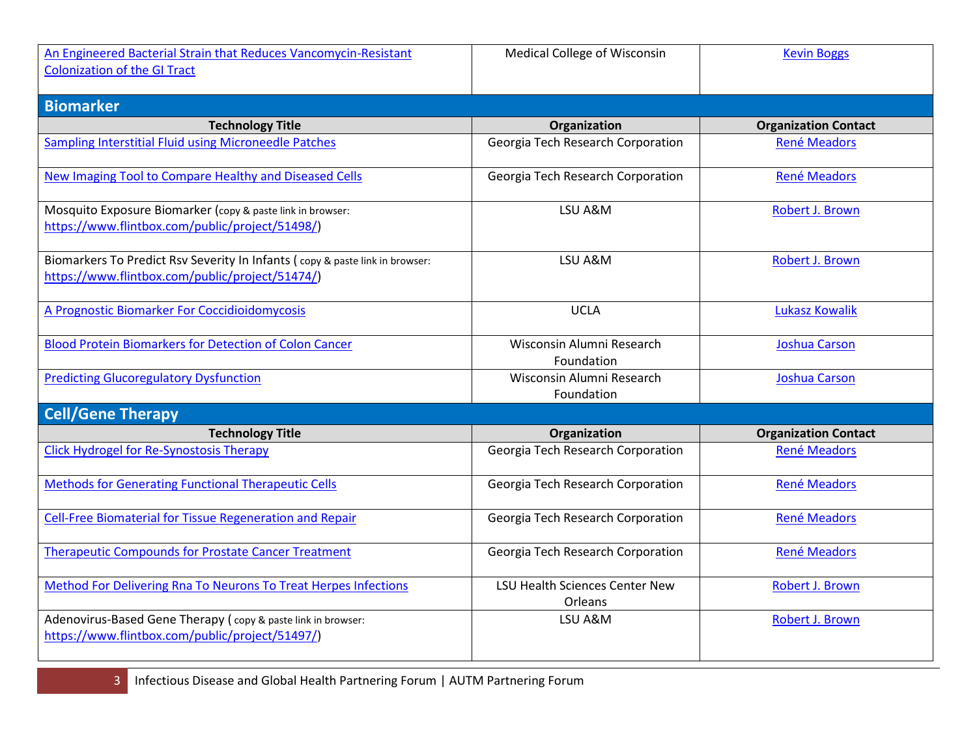| An Engineered Bacterial Strain that Reduces Vancomycin-Resistant                                                                | <b>Medical College of Wisconsin</b>              | <b>Kevin Boggs</b>          |
|---------------------------------------------------------------------------------------------------------------------------------|--------------------------------------------------|-----------------------------|
| <b>Colonization of the GI Tract</b>                                                                                             |                                                  |                             |
|                                                                                                                                 |                                                  |                             |
| <b>Biomarker</b>                                                                                                                |                                                  |                             |
| <b>Technology Title</b>                                                                                                         | Organization                                     | <b>Organization Contact</b> |
| <b>Sampling Interstitial Fluid using Microneedle Patches</b>                                                                    | Georgia Tech Research Corporation                | <b>René Meadors</b>         |
| <b>New Imaging Tool to Compare Healthy and Diseased Cells</b>                                                                   | Georgia Tech Research Corporation                | René Meadors                |
| Mosquito Exposure Biomarker (copy & paste link in browser:<br>https://www.flintbox.com/public/project/51498/)                   | LSU A&M                                          | Robert J. Brown             |
| Biomarkers To Predict Rsv Severity In Infants (copy & paste link in browser:<br>https://www.flintbox.com/public/project/51474/) | LSU A&M                                          | Robert J. Brown             |
| A Prognostic Biomarker For Coccidioidomycosis                                                                                   | <b>UCLA</b>                                      | <b>Lukasz Kowalik</b>       |
| <b>Blood Protein Biomarkers for Detection of Colon Cancer</b>                                                                   | Wisconsin Alumni Research<br>Foundation          | <b>Joshua Carson</b>        |
| <b>Predicting Glucoregulatory Dysfunction</b>                                                                                   | Wisconsin Alumni Research<br>Foundation          | <b>Joshua Carson</b>        |
| <b>Cell/Gene Therapy</b>                                                                                                        |                                                  |                             |
| <b>Technology Title</b>                                                                                                         | Organization                                     | <b>Organization Contact</b> |
| <b>Click Hydrogel for Re-Synostosis Therapy</b>                                                                                 | Georgia Tech Research Corporation                | <b>René Meadors</b>         |
| <b>Methods for Generating Functional Therapeutic Cells</b>                                                                      | Georgia Tech Research Corporation                | <b>René Meadors</b>         |
| Cell-Free Biomaterial for Tissue Regeneration and Repair                                                                        | Georgia Tech Research Corporation                | <b>René Meadors</b>         |
| <b>Therapeutic Compounds for Prostate Cancer Treatment</b>                                                                      | Georgia Tech Research Corporation                | René Meadors                |
| Method For Delivering Rna To Neurons To Treat Herpes Infections                                                                 | <b>LSU Health Sciences Center New</b><br>Orleans | Robert J. Brown             |
| Adenovirus-Based Gene Therapy (copy & paste link in browser:<br>https://www.flintbox.com/public/project/51497/)                 | LSU A&M                                          | Robert J. Brown             |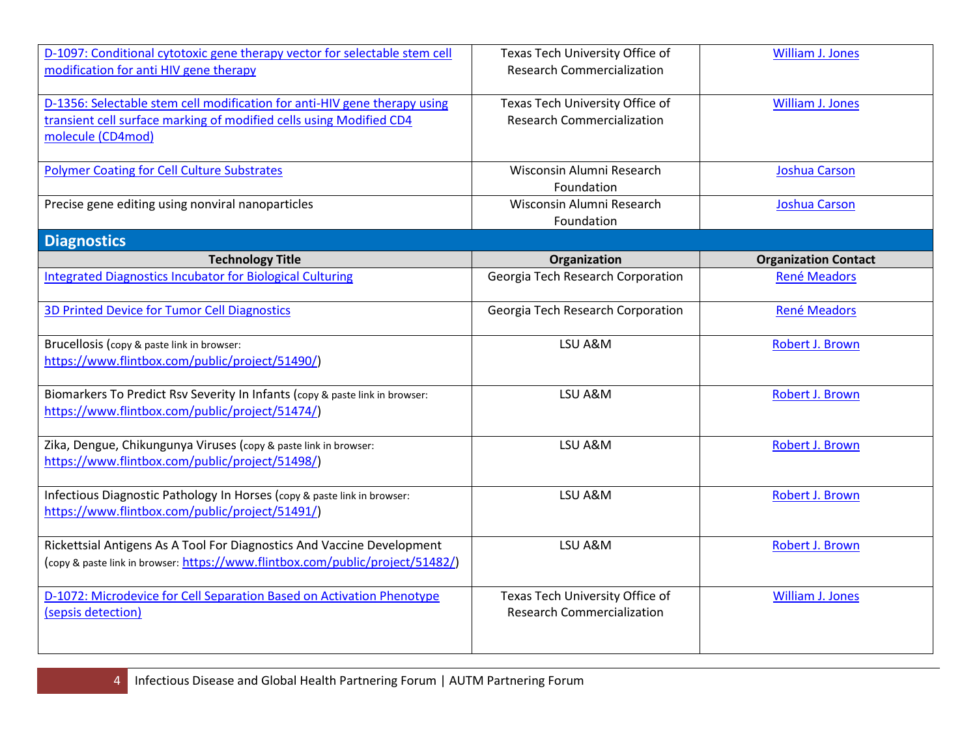| D-1097: Conditional cytotoxic gene therapy vector for selectable stem cell<br>modification for anti HIV gene therapy                                                  | Texas Tech University Office of<br><b>Research Commercialization</b> | <b>William J. Jones</b>     |
|-----------------------------------------------------------------------------------------------------------------------------------------------------------------------|----------------------------------------------------------------------|-----------------------------|
| D-1356: Selectable stem cell modification for anti-HIV gene therapy using<br>transient cell surface marking of modified cells using Modified CD4<br>molecule (CD4mod) | Texas Tech University Office of<br><b>Research Commercialization</b> | <b>William J. Jones</b>     |
| <b>Polymer Coating for Cell Culture Substrates</b>                                                                                                                    | Wisconsin Alumni Research<br>Foundation                              | <b>Joshua Carson</b>        |
| Precise gene editing using nonviral nanoparticles                                                                                                                     | Wisconsin Alumni Research<br>Foundation                              | <b>Joshua Carson</b>        |
| <b>Diagnostics</b>                                                                                                                                                    |                                                                      |                             |
| <b>Technology Title</b>                                                                                                                                               | Organization                                                         | <b>Organization Contact</b> |
| <b>Integrated Diagnostics Incubator for Biological Culturing</b>                                                                                                      | Georgia Tech Research Corporation                                    | <b>René Meadors</b>         |
| <b>3D Printed Device for Tumor Cell Diagnostics</b>                                                                                                                   | Georgia Tech Research Corporation                                    | <b>René Meadors</b>         |
| Brucellosis (copy & paste link in browser:<br>https://www.flintbox.com/public/project/51490/)                                                                         | LSU A&M                                                              | Robert J. Brown             |
| Biomarkers To Predict Rsv Severity In Infants (copy & paste link in browser:<br>https://www.flintbox.com/public/project/51474/)                                       | LSU A&M                                                              | Robert J. Brown             |
| Zika, Dengue, Chikungunya Viruses (copy & paste link in browser:<br>https://www.flintbox.com/public/project/51498/)                                                   | LSU A&M                                                              | Robert J. Brown             |
| Infectious Diagnostic Pathology In Horses (copy & paste link in browser:<br>https://www.flintbox.com/public/project/51491/)                                           | LSU A&M                                                              | Robert J. Brown             |
| Rickettsial Antigens As A Tool For Diagnostics And Vaccine Development<br>(copy & paste link in browser: https://www.flintbox.com/public/project/51482/)              | LSU A&M                                                              | Robert J. Brown             |
| D-1072: Microdevice for Cell Separation Based on Activation Phenotype<br>(sepsis detection)                                                                           | Texas Tech University Office of<br><b>Research Commercialization</b> | <b>William J. Jones</b>     |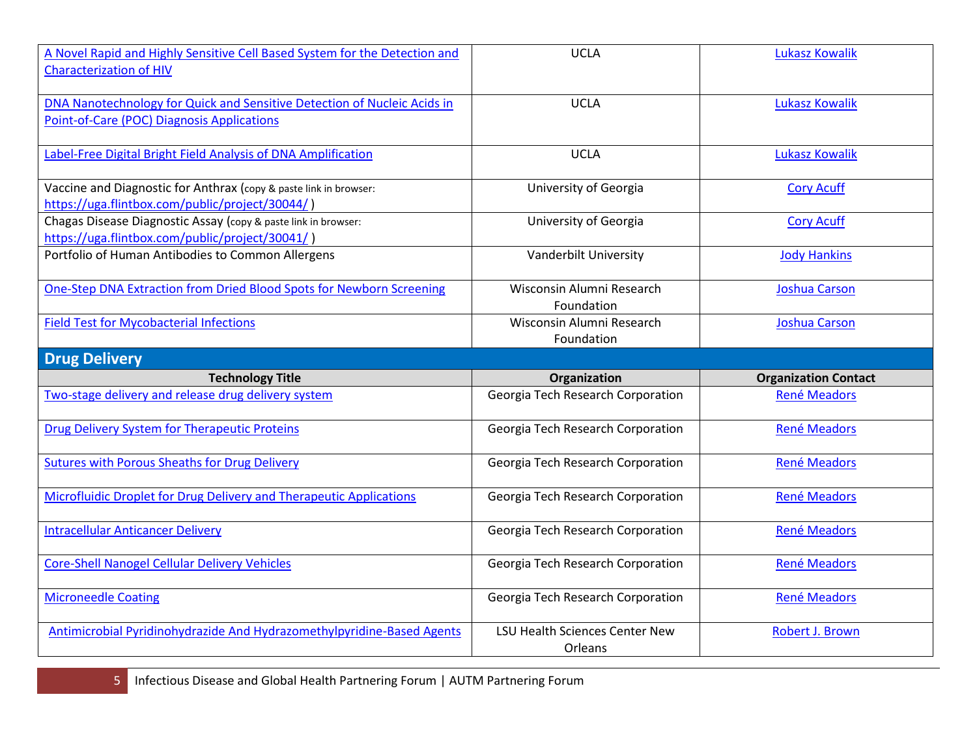| A Novel Rapid and Highly Sensitive Cell Based System for the Detection and<br><b>Characterization of HIV</b>           | <b>UCLA</b>                             | <b>Lukasz Kowalik</b>       |
|------------------------------------------------------------------------------------------------------------------------|-----------------------------------------|-----------------------------|
| DNA Nanotechnology for Quick and Sensitive Detection of Nucleic Acids in<br>Point-of-Care (POC) Diagnosis Applications | <b>UCLA</b>                             | <b>Lukasz Kowalik</b>       |
| Label-Free Digital Bright Field Analysis of DNA Amplification                                                          | <b>UCLA</b>                             | <b>Lukasz Kowalik</b>       |
| Vaccine and Diagnostic for Anthrax (copy & paste link in browser:<br>https://uga.flintbox.com/public/project/30044/)   | University of Georgia                   | <b>Cory Acuff</b>           |
| Chagas Disease Diagnostic Assay (copy & paste link in browser:<br>https://uga.flintbox.com/public/project/30041/)      | University of Georgia                   | <b>Cory Acuff</b>           |
| Portfolio of Human Antibodies to Common Allergens                                                                      | Vanderbilt University                   | <b>Jody Hankins</b>         |
| One-Step DNA Extraction from Dried Blood Spots for Newborn Screening                                                   | Wisconsin Alumni Research<br>Foundation | <b>Joshua Carson</b>        |
| <b>Field Test for Mycobacterial Infections</b>                                                                         | Wisconsin Alumni Research<br>Foundation | <b>Joshua Carson</b>        |
|                                                                                                                        |                                         |                             |
| <b>Drug Delivery</b>                                                                                                   |                                         |                             |
| <b>Technology Title</b>                                                                                                | Organization                            | <b>Organization Contact</b> |
| Two-stage delivery and release drug delivery system                                                                    | Georgia Tech Research Corporation       | <b>René Meadors</b>         |
| Drug Delivery System for Therapeutic Proteins                                                                          | Georgia Tech Research Corporation       | <b>René Meadors</b>         |
| <b>Sutures with Porous Sheaths for Drug Delivery</b>                                                                   | Georgia Tech Research Corporation       | René Meadors                |
| <b>Microfluidic Droplet for Drug Delivery and Therapeutic Applications</b>                                             | Georgia Tech Research Corporation       | René Meadors                |
| <b>Intracellular Anticancer Delivery</b>                                                                               | Georgia Tech Research Corporation       | René Meadors                |
| <b>Core-Shell Nanogel Cellular Delivery Vehicles</b>                                                                   | Georgia Tech Research Corporation       | René Meadors                |
| <b>Microneedle Coating</b>                                                                                             | Georgia Tech Research Corporation       | René Meadors                |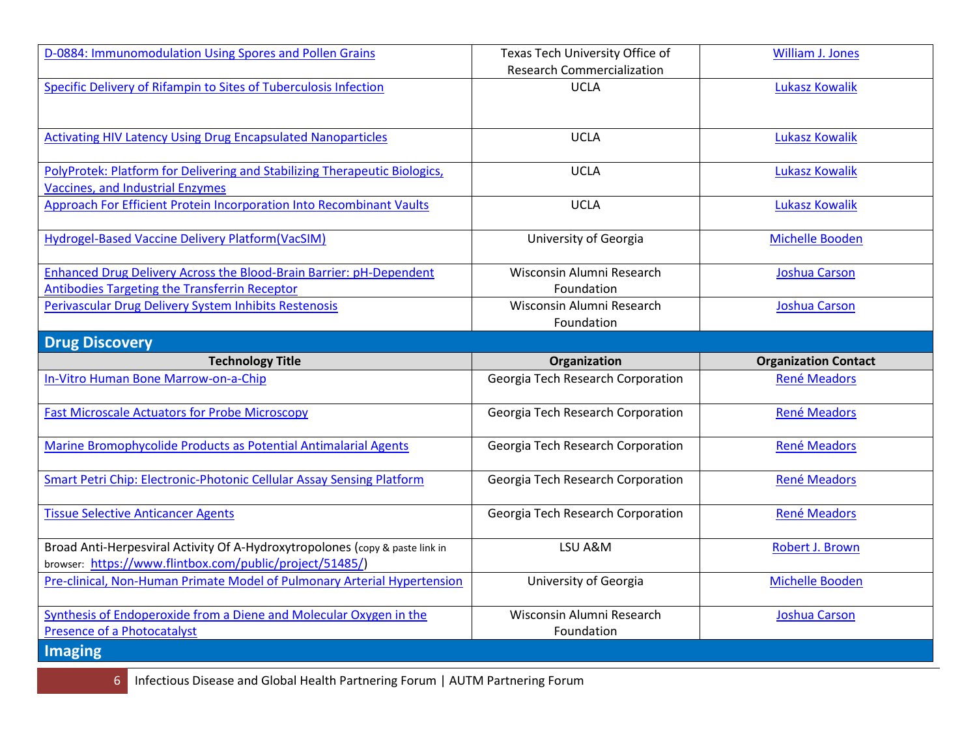| D-0884: Immunomodulation Using Spores and Pollen Grains                                                                                  | Texas Tech University Office of         | William J. Jones            |
|------------------------------------------------------------------------------------------------------------------------------------------|-----------------------------------------|-----------------------------|
|                                                                                                                                          | <b>Research Commercialization</b>       |                             |
| Specific Delivery of Rifampin to Sites of Tuberculosis Infection                                                                         | <b>UCLA</b>                             | <b>Lukasz Kowalik</b>       |
| <b>Activating HIV Latency Using Drug Encapsulated Nanoparticles</b>                                                                      | <b>UCLA</b>                             | <b>Lukasz Kowalik</b>       |
| PolyProtek: Platform for Delivering and Stabilizing Therapeutic Biologics,<br>Vaccines, and Industrial Enzymes                           | <b>UCLA</b>                             | <b>Lukasz Kowalik</b>       |
| <b>Approach For Efficient Protein Incorporation Into Recombinant Vaults</b>                                                              | <b>UCLA</b>                             | <b>Lukasz Kowalik</b>       |
| <b>Hydrogel-Based Vaccine Delivery Platform(VacSIM)</b>                                                                                  | University of Georgia                   | Michelle Booden             |
| <b>Enhanced Drug Delivery Across the Blood-Brain Barrier: pH-Dependent</b><br>Antibodies Targeting the Transferrin Receptor              | Wisconsin Alumni Research<br>Foundation | Joshua Carson               |
| Perivascular Drug Delivery System Inhibits Restenosis                                                                                    | Wisconsin Alumni Research<br>Foundation | <b>Joshua Carson</b>        |
| <b>Drug Discovery</b>                                                                                                                    |                                         |                             |
| <b>Technology Title</b>                                                                                                                  | <b>Organization</b>                     | <b>Organization Contact</b> |
| In-Vitro Human Bone Marrow-on-a-Chip                                                                                                     | Georgia Tech Research Corporation       | <b>René Meadors</b>         |
| <b>Fast Microscale Actuators for Probe Microscopy</b>                                                                                    | Georgia Tech Research Corporation       | René Meadors                |
| Marine Bromophycolide Products as Potential Antimalarial Agents                                                                          | Georgia Tech Research Corporation       | <b>René Meadors</b>         |
| Smart Petri Chip: Electronic-Photonic Cellular Assay Sensing Platform                                                                    | Georgia Tech Research Corporation       | <b>René Meadors</b>         |
| <b>Tissue Selective Anticancer Agents</b>                                                                                                | Georgia Tech Research Corporation       | <b>René Meadors</b>         |
| Broad Anti-Herpesviral Activity Of A-Hydroxytropolones (copy & paste link in<br>browser: https://www.flintbox.com/public/project/51485/) | LSU A&M                                 | Robert J. Brown             |
| Pre-clinical, Non-Human Primate Model of Pulmonary Arterial Hypertension                                                                 | University of Georgia                   | Michelle Booden             |
| Synthesis of Endoperoxide from a Diene and Molecular Oxygen in the<br><b>Presence of a Photocatalyst</b>                                 | Wisconsin Alumni Research<br>Foundation | <b>Joshua Carson</b>        |
| Imaging                                                                                                                                  |                                         |                             |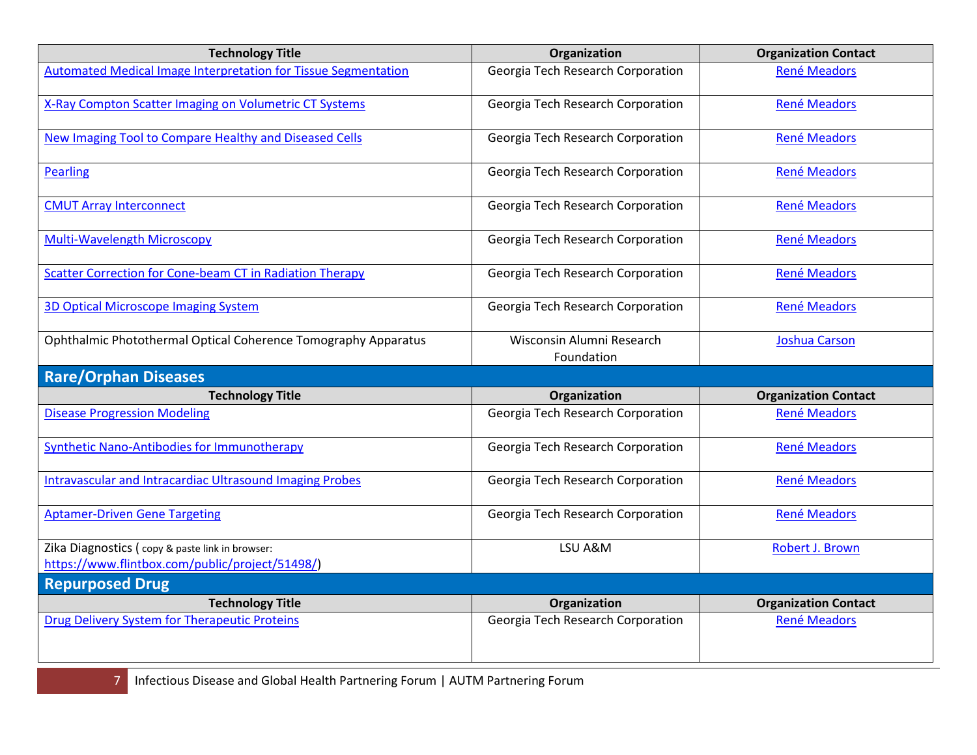| <b>Technology Title</b>                                               | Organization                            | <b>Organization Contact</b> |
|-----------------------------------------------------------------------|-----------------------------------------|-----------------------------|
| <b>Automated Medical Image Interpretation for Tissue Segmentation</b> | Georgia Tech Research Corporation       | René Meadors                |
| X-Ray Compton Scatter Imaging on Volumetric CT Systems                | Georgia Tech Research Corporation       | René Meadors                |
| New Imaging Tool to Compare Healthy and Diseased Cells                | Georgia Tech Research Corporation       | René Meadors                |
| <b>Pearling</b>                                                       | Georgia Tech Research Corporation       | <b>René Meadors</b>         |
| <b>CMUT Array Interconnect</b>                                        | Georgia Tech Research Corporation       | René Meadors                |
| <b>Multi-Wavelength Microscopy</b>                                    | Georgia Tech Research Corporation       | <b>René Meadors</b>         |
| <b>Scatter Correction for Cone-beam CT in Radiation Therapy</b>       | Georgia Tech Research Corporation       | <b>René Meadors</b>         |
| <b>3D Optical Microscope Imaging System</b>                           | Georgia Tech Research Corporation       | <b>René Meadors</b>         |
| Ophthalmic Photothermal Optical Coherence Tomography Apparatus        | Wisconsin Alumni Research<br>Foundation | <b>Joshua Carson</b>        |
| <b>Rare/Orphan Diseases</b>                                           |                                         |                             |
| <b>Technology Title</b>                                               | Organization                            | <b>Organization Contact</b> |
| <b>Disease Progression Modeling</b>                                   | Georgia Tech Research Corporation       | <b>René Meadors</b>         |
| <b>Synthetic Nano-Antibodies for Immunotherapy</b>                    | Georgia Tech Research Corporation       | René Meadors                |
| <b>Intravascular and Intracardiac Ultrasound Imaging Probes</b>       | Georgia Tech Research Corporation       | <b>René Meadors</b>         |
| <b>Aptamer-Driven Gene Targeting</b>                                  | Georgia Tech Research Corporation       | <b>René Meadors</b>         |
| Zika Diagnostics (copy & paste link in browser:                       | LSU A&M                                 | Robert J. Brown             |
| https://www.flintbox.com/public/project/51498/)                       |                                         |                             |
| <b>Repurposed Drug</b>                                                |                                         |                             |
| <b>Technology Title</b>                                               | Organization                            | <b>Organization Contact</b> |
| Drug Delivery System for Therapeutic Proteins                         | Georgia Tech Research Corporation       | <b>René Meadors</b>         |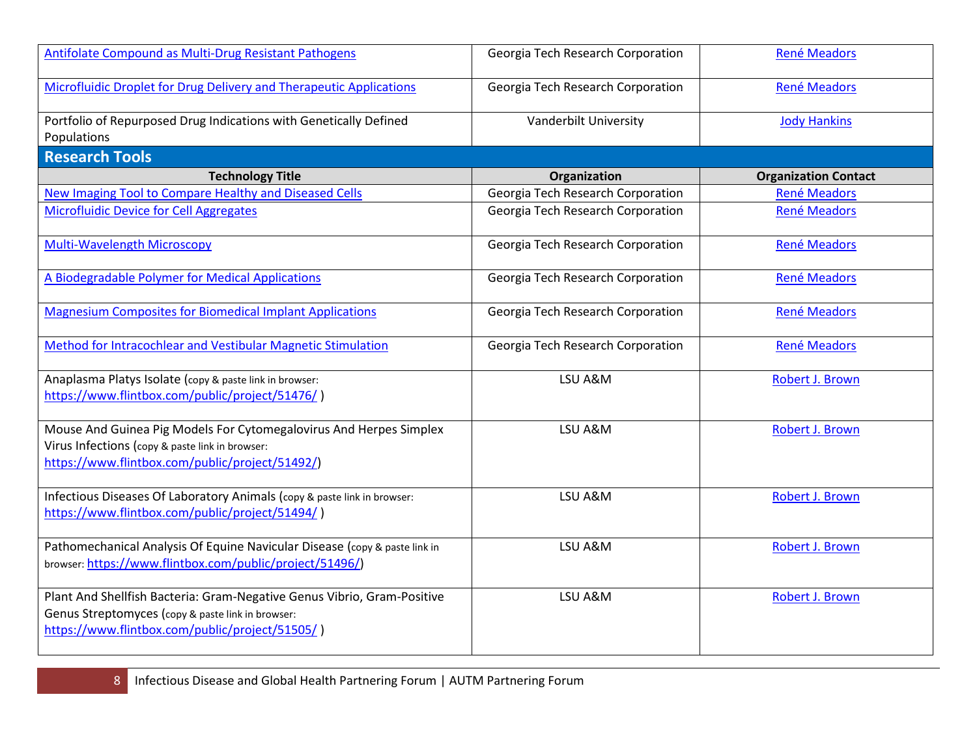| Antifolate Compound as Multi-Drug Resistant Pathogens                                                                                                                           | Georgia Tech Research Corporation | <b>René Meadors</b>         |
|---------------------------------------------------------------------------------------------------------------------------------------------------------------------------------|-----------------------------------|-----------------------------|
| Microfluidic Droplet for Drug Delivery and Therapeutic Applications                                                                                                             | Georgia Tech Research Corporation | René Meadors                |
| Portfolio of Repurposed Drug Indications with Genetically Defined<br>Populations                                                                                                | Vanderbilt University             | <b>Jody Hankins</b>         |
| <b>Research Tools</b>                                                                                                                                                           |                                   |                             |
| <b>Technology Title</b>                                                                                                                                                         | Organization                      | <b>Organization Contact</b> |
| New Imaging Tool to Compare Healthy and Diseased Cells                                                                                                                          | Georgia Tech Research Corporation | <b>René Meadors</b>         |
| <b>Microfluidic Device for Cell Aggregates</b>                                                                                                                                  | Georgia Tech Research Corporation | René Meadors                |
| Multi-Wavelength Microscopy                                                                                                                                                     | Georgia Tech Research Corporation | René Meadors                |
| A Biodegradable Polymer for Medical Applications                                                                                                                                | Georgia Tech Research Corporation | <b>René Meadors</b>         |
| <b>Magnesium Composites for Biomedical Implant Applications</b>                                                                                                                 | Georgia Tech Research Corporation | René Meadors                |
| Method for Intracochlear and Vestibular Magnetic Stimulation                                                                                                                    | Georgia Tech Research Corporation | René Meadors                |
| Anaplasma Platys Isolate (copy & paste link in browser:<br>https://www.flintbox.com/public/project/51476/)                                                                      | LSU A&M                           | Robert J. Brown             |
| Mouse And Guinea Pig Models For Cytomegalovirus And Herpes Simplex<br>Virus Infections (copy & paste link in browser:<br>https://www.flintbox.com/public/project/51492/)        | LSU A&M                           | Robert J. Brown             |
| Infectious Diseases Of Laboratory Animals (copy & paste link in browser:<br>https://www.flintbox.com/public/project/51494/)                                                     | LSU A&M                           | Robert J. Brown             |
| Pathomechanical Analysis Of Equine Navicular Disease (copy & paste link in<br>browser: https://www.flintbox.com/public/project/51496/)                                          | LSU A&M                           | Robert J. Brown             |
| Plant And Shellfish Bacteria: Gram-Negative Genus Vibrio, Gram-Positive<br>Genus Streptomyces (copy & paste link in browser:<br>https://www.flintbox.com/public/project/51505/) | LSU A&M                           | Robert J. Brown             |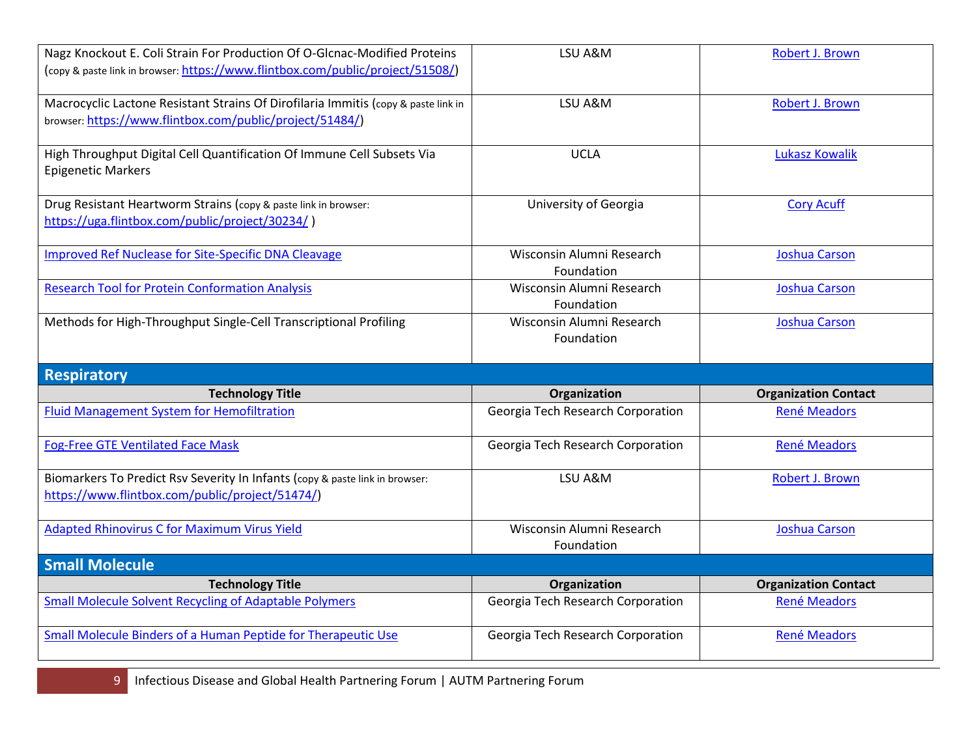| Nagz Knockout E. Coli Strain For Production Of O-Glcnac-Modified Proteins<br>(copy & paste link in browser: https://www.flintbox.com/public/project/51508/) | LSU A&M                                 | Robert J. Brown             |
|-------------------------------------------------------------------------------------------------------------------------------------------------------------|-----------------------------------------|-----------------------------|
| Macrocyclic Lactone Resistant Strains Of Dirofilaria Immitis (copy & paste link in<br>browser: https://www.flintbox.com/public/project/51484/)              | LSU A&M                                 | Robert J. Brown             |
| High Throughput Digital Cell Quantification Of Immune Cell Subsets Via<br><b>Epigenetic Markers</b>                                                         | <b>UCLA</b>                             | <b>Lukasz Kowalik</b>       |
| Drug Resistant Heartworm Strains (copy & paste link in browser:<br>https://uga.flintbox.com/public/project/30234/)                                          | University of Georgia                   | <b>Cory Acuff</b>           |
| <b>Improved Ref Nuclease for Site-Specific DNA Cleavage</b>                                                                                                 | Wisconsin Alumni Research<br>Foundation | <b>Joshua Carson</b>        |
| <b>Research Tool for Protein Conformation Analysis</b>                                                                                                      | Wisconsin Alumni Research<br>Foundation | <b>Joshua Carson</b>        |
| Methods for High-Throughput Single-Cell Transcriptional Profiling                                                                                           | Wisconsin Alumni Research<br>Foundation | <b>Joshua Carson</b>        |
| <b>Respiratory</b>                                                                                                                                          |                                         |                             |
| <b>Technology Title</b>                                                                                                                                     | Organization                            | <b>Organization Contact</b> |
| <b>Fluid Management System for Hemofiltration</b>                                                                                                           | Georgia Tech Research Corporation       | <b>René Meadors</b>         |
|                                                                                                                                                             |                                         |                             |
| <b>Fog-Free GTE Ventilated Face Mask</b>                                                                                                                    | Georgia Tech Research Corporation       | <b>René Meadors</b>         |
| Biomarkers To Predict Rsv Severity In Infants (copy & paste link in browser:<br>https://www.flintbox.com/public/project/51474/)                             | LSU A&M                                 | Robert J. Brown             |
| <b>Adapted Rhinovirus C for Maximum Virus Yield</b>                                                                                                         | Wisconsin Alumni Research<br>Foundation | <b>Joshua Carson</b>        |
| <b>Small Molecule</b>                                                                                                                                       |                                         |                             |
| <b>Technology Title</b>                                                                                                                                     | Organization                            | <b>Organization Contact</b> |
| <b>Small Molecule Solvent Recycling of Adaptable Polymers</b>                                                                                               | Georgia Tech Research Corporation       | <b>René Meadors</b>         |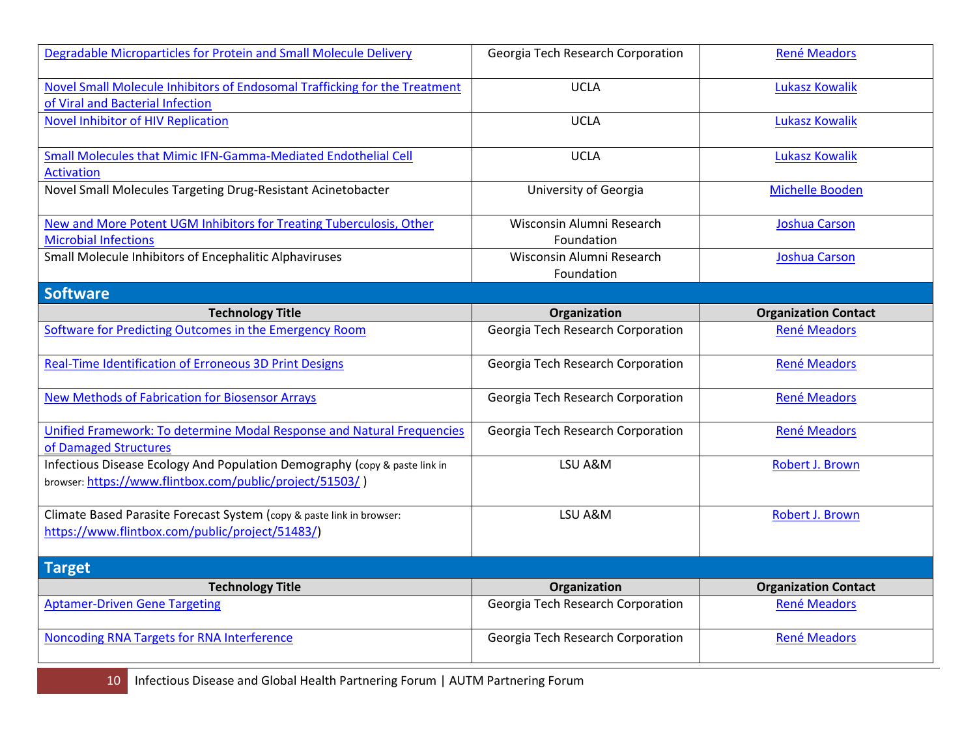| Degradable Microparticles for Protein and Small Molecule Delivery                                                                      | Georgia Tech Research Corporation       | <b>René Meadors</b>         |
|----------------------------------------------------------------------------------------------------------------------------------------|-----------------------------------------|-----------------------------|
| Novel Small Molecule Inhibitors of Endosomal Trafficking for the Treatment<br>of Viral and Bacterial Infection                         | <b>UCLA</b>                             | <b>Lukasz Kowalik</b>       |
| Novel Inhibitor of HIV Replication                                                                                                     | <b>UCLA</b>                             | <b>Lukasz Kowalik</b>       |
| Small Molecules that Mimic IFN-Gamma-Mediated Endothelial Cell<br><b>Activation</b>                                                    | <b>UCLA</b>                             | <b>Lukasz Kowalik</b>       |
| Novel Small Molecules Targeting Drug-Resistant Acinetobacter                                                                           | University of Georgia                   | <b>Michelle Booden</b>      |
| New and More Potent UGM Inhibitors for Treating Tuberculosis, Other<br><b>Microbial Infections</b>                                     | Wisconsin Alumni Research<br>Foundation | <b>Joshua Carson</b>        |
| Small Molecule Inhibitors of Encephalitic Alphaviruses                                                                                 | Wisconsin Alumni Research<br>Foundation | <b>Joshua Carson</b>        |
| <b>Software</b>                                                                                                                        |                                         |                             |
| <b>Technology Title</b>                                                                                                                | Organization                            | <b>Organization Contact</b> |
| Software for Predicting Outcomes in the Emergency Room                                                                                 | Georgia Tech Research Corporation       | <b>René Meadors</b>         |
| Real-Time Identification of Erroneous 3D Print Designs                                                                                 | Georgia Tech Research Corporation       | <b>René Meadors</b>         |
| <b>New Methods of Fabrication for Biosensor Arrays</b>                                                                                 | Georgia Tech Research Corporation       | <b>René Meadors</b>         |
| Unified Framework: To determine Modal Response and Natural Frequencies<br>of Damaged Structures                                        | Georgia Tech Research Corporation       | <b>René Meadors</b>         |
| Infectious Disease Ecology And Population Demography (copy & paste link in<br>browser: https://www.flintbox.com/public/project/51503/) | LSU A&M                                 | Robert J. Brown             |
| Climate Based Parasite Forecast System (copy & paste link in browser:<br>https://www.flintbox.com/public/project/51483/)               | LSU A&M                                 | Robert J. Brown             |
| <b>Target</b>                                                                                                                          |                                         |                             |
| <b>Technology Title</b>                                                                                                                | Organization                            | <b>Organization Contact</b> |
| <b>Aptamer-Driven Gene Targeting</b>                                                                                                   | Georgia Tech Research Corporation       | <b>René Meadors</b>         |
| Noncoding RNA Targets for RNA Interference                                                                                             |                                         |                             |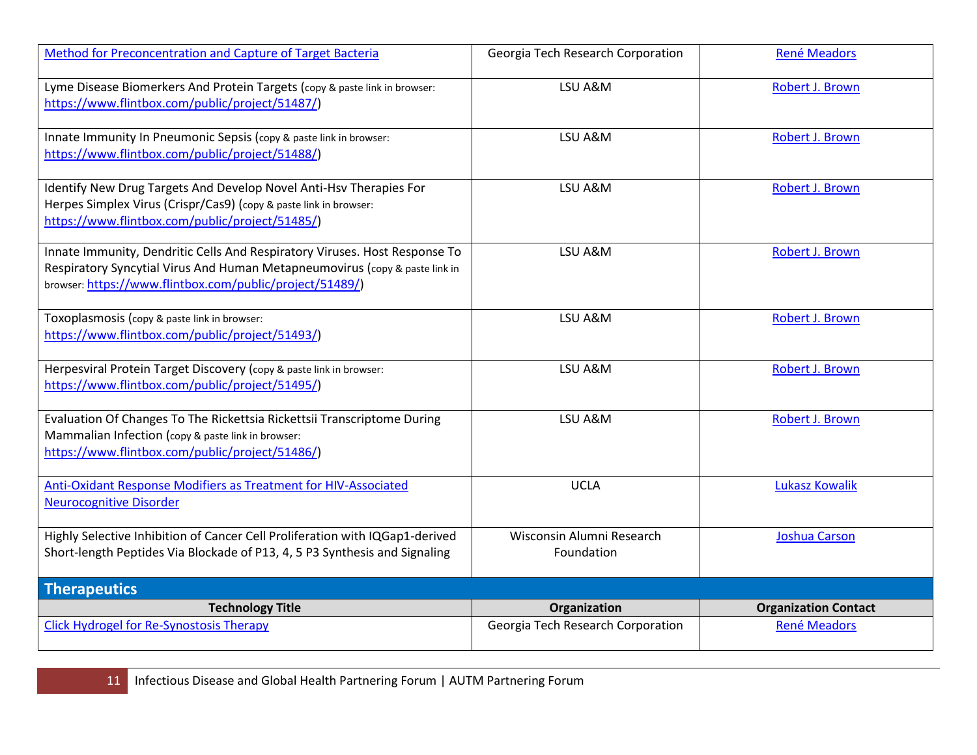| Method for Preconcentration and Capture of Target Bacteria                                                                                                                                                            | Georgia Tech Research Corporation       | René Meadors                |
|-----------------------------------------------------------------------------------------------------------------------------------------------------------------------------------------------------------------------|-----------------------------------------|-----------------------------|
| Lyme Disease Biomerkers And Protein Targets (copy & paste link in browser:<br>https://www.flintbox.com/public/project/51487/)                                                                                         | LSU A&M                                 | Robert J. Brown             |
| Innate Immunity In Pneumonic Sepsis (copy & paste link in browser:<br>https://www.flintbox.com/public/project/51488/)                                                                                                 | LSU A&M                                 | Robert J. Brown             |
| Identify New Drug Targets And Develop Novel Anti-Hsv Therapies For<br>Herpes Simplex Virus (Crispr/Cas9) (copy & paste link in browser:<br>https://www.flintbox.com/public/project/51485/)                            | LSU A&M                                 | Robert J. Brown             |
| Innate Immunity, Dendritic Cells And Respiratory Viruses. Host Response To<br>Respiratory Syncytial Virus And Human Metapneumovirus (copy & paste link in<br>browser: https://www.flintbox.com/public/project/51489/) | LSU A&M                                 | Robert J. Brown             |
| Toxoplasmosis (copy & paste link in browser:<br>https://www.flintbox.com/public/project/51493/)                                                                                                                       | LSU A&M                                 | Robert J. Brown             |
| Herpesviral Protein Target Discovery (copy & paste link in browser:<br>https://www.flintbox.com/public/project/51495/)                                                                                                | LSU A&M                                 | Robert J. Brown             |
| Evaluation Of Changes To The Rickettsia Rickettsii Transcriptome During<br>Mammalian Infection (copy & paste link in browser:<br>https://www.flintbox.com/public/project/51486/)                                      | LSU A&M                                 | Robert J. Brown             |
| Anti-Oxidant Response Modifiers as Treatment for HIV-Associated<br><b>Neurocognitive Disorder</b>                                                                                                                     | <b>UCLA</b>                             | <b>Lukasz Kowalik</b>       |
| Highly Selective Inhibition of Cancer Cell Proliferation with IQGap1-derived<br>Short-length Peptides Via Blockade of P13, 4, 5 P3 Synthesis and Signaling                                                            | Wisconsin Alumni Research<br>Foundation | <b>Joshua Carson</b>        |
| Therapeutics                                                                                                                                                                                                          |                                         |                             |
| <b>Technology Title</b>                                                                                                                                                                                               | Organization                            | <b>Organization Contact</b> |
| <b>Click Hydrogel for Re-Synostosis Therapy</b>                                                                                                                                                                       | Georgia Tech Research Corporation       | <b>René Meadors</b>         |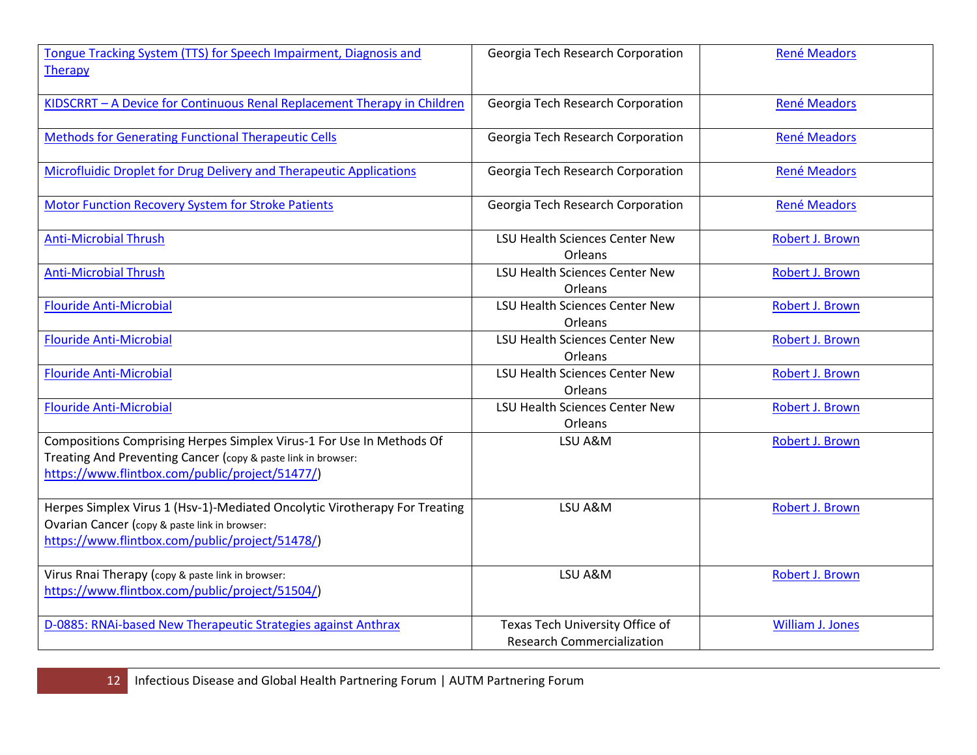| Tongue Tracking System (TTS) for Speech Impairment, Diagnosis and<br><b>Therapy</b>                                                                                                      | Georgia Tech Research Corporation                                    | <b>René Meadors</b>     |
|------------------------------------------------------------------------------------------------------------------------------------------------------------------------------------------|----------------------------------------------------------------------|-------------------------|
| KIDSCRRT - A Device for Continuous Renal Replacement Therapy in Children                                                                                                                 | Georgia Tech Research Corporation                                    | <b>René Meadors</b>     |
| <b>Methods for Generating Functional Therapeutic Cells</b>                                                                                                                               | Georgia Tech Research Corporation                                    | <b>René Meadors</b>     |
| Microfluidic Droplet for Drug Delivery and Therapeutic Applications                                                                                                                      | Georgia Tech Research Corporation                                    | <b>René Meadors</b>     |
| <b>Motor Function Recovery System for Stroke Patients</b>                                                                                                                                | Georgia Tech Research Corporation                                    | <b>René Meadors</b>     |
| <b>Anti-Microbial Thrush</b>                                                                                                                                                             | <b>LSU Health Sciences Center New</b><br>Orleans                     | Robert J. Brown         |
| <b>Anti-Microbial Thrush</b>                                                                                                                                                             | <b>LSU Health Sciences Center New</b><br>Orleans                     | Robert J. Brown         |
| <b>Flouride Anti-Microbial</b>                                                                                                                                                           | <b>LSU Health Sciences Center New</b><br>Orleans                     | Robert J. Brown         |
| <b>Flouride Anti-Microbial</b>                                                                                                                                                           | <b>LSU Health Sciences Center New</b><br><b>Orleans</b>              | Robert J. Brown         |
| <b>Flouride Anti-Microbial</b>                                                                                                                                                           | <b>LSU Health Sciences Center New</b><br>Orleans                     | Robert J. Brown         |
| <b>Flouride Anti-Microbial</b>                                                                                                                                                           | <b>LSU Health Sciences Center New</b><br>Orleans                     | Robert J. Brown         |
| Compositions Comprising Herpes Simplex Virus-1 For Use In Methods Of<br>Treating And Preventing Cancer (copy & paste link in browser:<br>https://www.flintbox.com/public/project/51477/) | LSU A&M                                                              | Robert J. Brown         |
| Herpes Simplex Virus 1 (Hsv-1)-Mediated Oncolytic Virotherapy For Treating<br>Ovarian Cancer (copy & paste link in browser:<br>https://www.flintbox.com/public/project/51478/)           | LSU A&M                                                              | Robert J. Brown         |
| Virus Rnai Therapy (copy & paste link in browser:<br>https://www.flintbox.com/public/project/51504/)                                                                                     | LSU A&M                                                              | Robert J. Brown         |
| D-0885: RNAi-based New Therapeutic Strategies against Anthrax                                                                                                                            | Texas Tech University Office of<br><b>Research Commercialization</b> | <b>William J. Jones</b> |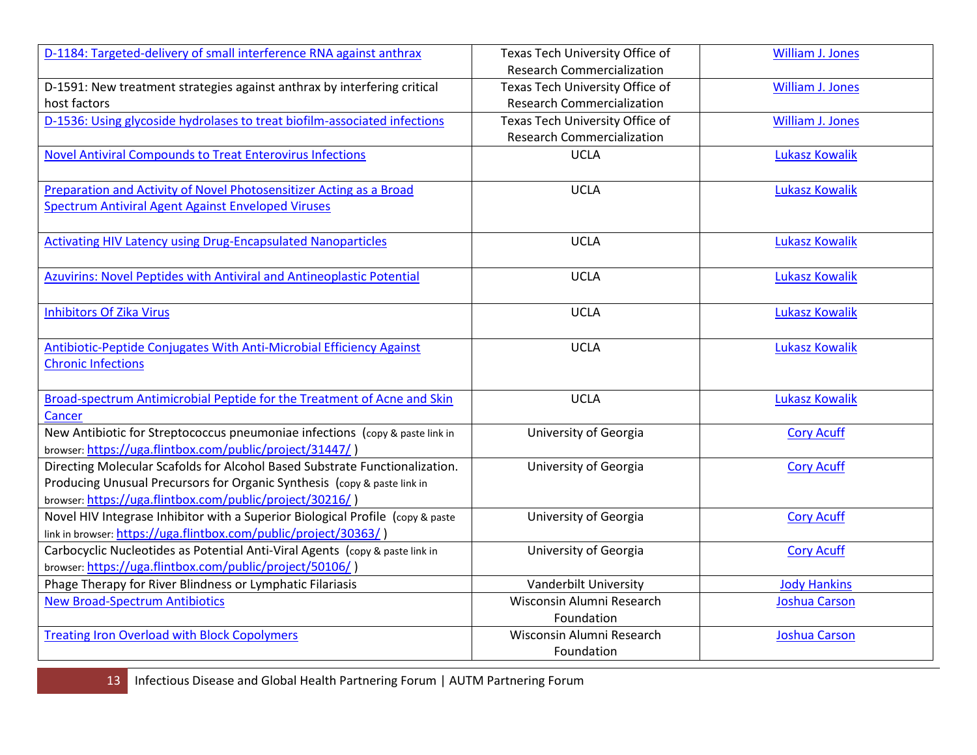| D-1184: Targeted-delivery of small interference RNA against anthrax                                                                                                                                                | Texas Tech University Office of   | <b>William J. Jones</b> |
|--------------------------------------------------------------------------------------------------------------------------------------------------------------------------------------------------------------------|-----------------------------------|-------------------------|
|                                                                                                                                                                                                                    | <b>Research Commercialization</b> |                         |
| D-1591: New treatment strategies against anthrax by interfering critical                                                                                                                                           | Texas Tech University Office of   | William J. Jones        |
| host factors                                                                                                                                                                                                       | <b>Research Commercialization</b> |                         |
| D-1536: Using glycoside hydrolases to treat biofilm-associated infections                                                                                                                                          | Texas Tech University Office of   | <b>William J. Jones</b> |
|                                                                                                                                                                                                                    | <b>Research Commercialization</b> |                         |
| <b>Novel Antiviral Compounds to Treat Enterovirus Infections</b>                                                                                                                                                   | <b>UCLA</b>                       | <b>Lukasz Kowalik</b>   |
| Preparation and Activity of Novel Photosensitizer Acting as a Broad                                                                                                                                                | <b>UCLA</b>                       | <b>Lukasz Kowalik</b>   |
| <b>Spectrum Antiviral Agent Against Enveloped Viruses</b>                                                                                                                                                          |                                   |                         |
| <b>Activating HIV Latency using Drug-Encapsulated Nanoparticles</b>                                                                                                                                                | <b>UCLA</b>                       | <b>Lukasz Kowalik</b>   |
| Azuvirins: Novel Peptides with Antiviral and Antineoplastic Potential                                                                                                                                              | <b>UCLA</b>                       | <b>Lukasz Kowalik</b>   |
| <b>Inhibitors Of Zika Virus</b>                                                                                                                                                                                    | <b>UCLA</b>                       | <b>Lukasz Kowalik</b>   |
| Antibiotic-Peptide Conjugates With Anti-Microbial Efficiency Against<br><b>Chronic Infections</b>                                                                                                                  | <b>UCLA</b>                       | <b>Lukasz Kowalik</b>   |
| Broad-spectrum Antimicrobial Peptide for the Treatment of Acne and Skin                                                                                                                                            | <b>UCLA</b>                       | <b>Lukasz Kowalik</b>   |
| Cancer                                                                                                                                                                                                             |                                   |                         |
| New Antibiotic for Streptococcus pneumoniae infections (copy & paste link in<br>browser: https://uga.flintbox.com/public/project/31447/)                                                                           | University of Georgia             | <b>Cory Acuff</b>       |
| Directing Molecular Scafolds for Alcohol Based Substrate Functionalization.<br>Producing Unusual Precursors for Organic Synthesis (copy & paste link in<br>browser: https://uga.flintbox.com/public/project/30216/ | University of Georgia             | <b>Cory Acuff</b>       |
| Novel HIV Integrase Inhibitor with a Superior Biological Profile (copy & paste<br>link in browser: https://uga.flintbox.com/public/project/30363/)                                                                 | University of Georgia             | <b>Cory Acuff</b>       |
| Carbocyclic Nucleotides as Potential Anti-Viral Agents (copy & paste link in<br>browser: https://uga.flintbox.com/public/project/50106/)                                                                           | University of Georgia             | <b>Cory Acuff</b>       |
| Phage Therapy for River Blindness or Lymphatic Filariasis                                                                                                                                                          | Vanderbilt University             | <b>Jody Hankins</b>     |
| <b>New Broad-Spectrum Antibiotics</b>                                                                                                                                                                              | Wisconsin Alumni Research         | <b>Joshua Carson</b>    |
|                                                                                                                                                                                                                    | Foundation                        |                         |
| <b>Treating Iron Overload with Block Copolymers</b>                                                                                                                                                                | Wisconsin Alumni Research         | Joshua Carson           |
|                                                                                                                                                                                                                    | Foundation                        |                         |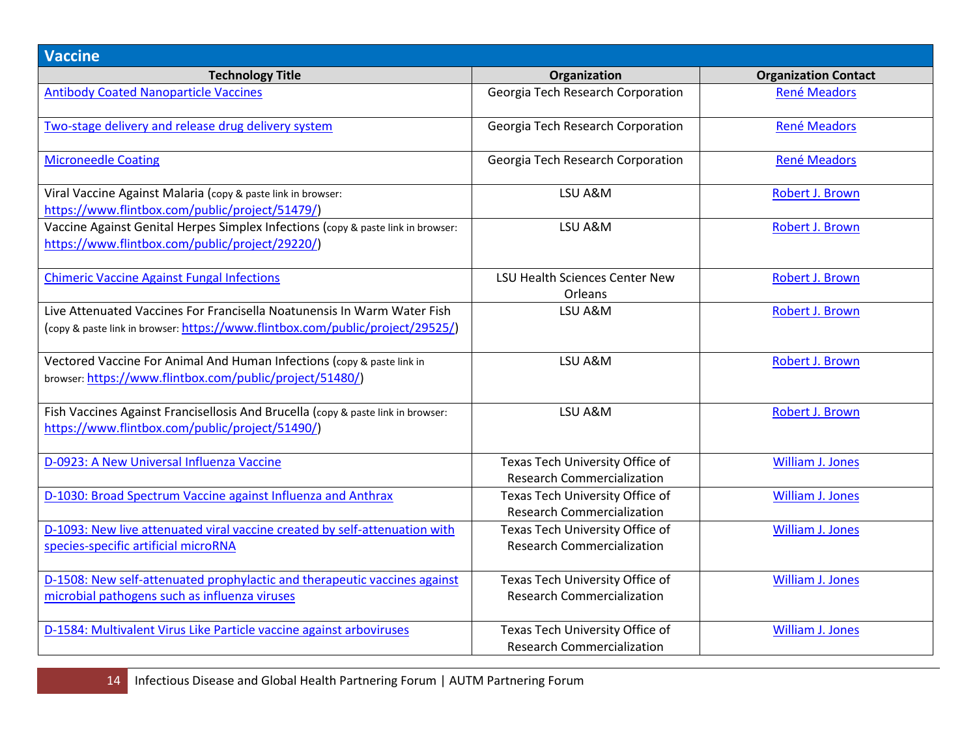| <b>Vaccine</b>                                                                                                                                            |                                                                      |                             |
|-----------------------------------------------------------------------------------------------------------------------------------------------------------|----------------------------------------------------------------------|-----------------------------|
| <b>Technology Title</b>                                                                                                                                   | Organization                                                         | <b>Organization Contact</b> |
| <b>Antibody Coated Nanoparticle Vaccines</b>                                                                                                              | Georgia Tech Research Corporation                                    | <b>René Meadors</b>         |
| Two-stage delivery and release drug delivery system                                                                                                       | Georgia Tech Research Corporation                                    | René Meadors                |
| <b>Microneedle Coating</b>                                                                                                                                | Georgia Tech Research Corporation                                    | <b>René Meadors</b>         |
| Viral Vaccine Against Malaria (copy & paste link in browser:<br>https://www.flintbox.com/public/project/51479/)                                           | LSU A&M                                                              | Robert J. Brown             |
| Vaccine Against Genital Herpes Simplex Infections (copy & paste link in browser:<br>https://www.flintbox.com/public/project/29220/)                       | LSU A&M                                                              | Robert J. Brown             |
| <b>Chimeric Vaccine Against Fungal Infections</b>                                                                                                         | LSU Health Sciences Center New<br>Orleans                            | Robert J. Brown             |
| Live Attenuated Vaccines For Francisella Noatunensis In Warm Water Fish<br>(copy & paste link in browser: https://www.flintbox.com/public/project/29525/) | LSU A&M                                                              | Robert J. Brown             |
| Vectored Vaccine For Animal And Human Infections (copy & paste link in<br>browser: https://www.flintbox.com/public/project/51480/)                        | LSU A&M                                                              | Robert J. Brown             |
| Fish Vaccines Against Francisellosis And Brucella (copy & paste link in browser:<br>https://www.flintbox.com/public/project/51490/)                       | LSU A&M                                                              | Robert J. Brown             |
| D-0923: A New Universal Influenza Vaccine                                                                                                                 | Texas Tech University Office of<br><b>Research Commercialization</b> | <b>William J. Jones</b>     |
| D-1030: Broad Spectrum Vaccine against Influenza and Anthrax                                                                                              | Texas Tech University Office of<br><b>Research Commercialization</b> | <b>William J. Jones</b>     |
| D-1093: New live attenuated viral vaccine created by self-attenuation with<br>species-specific artificial microRNA                                        | Texas Tech University Office of<br><b>Research Commercialization</b> | <b>William J. Jones</b>     |
| D-1508: New self-attenuated prophylactic and therapeutic vaccines against<br>microbial pathogens such as influenza viruses                                | Texas Tech University Office of<br><b>Research Commercialization</b> | <b>William J. Jones</b>     |
| D-1584: Multivalent Virus Like Particle vaccine against arboviruses                                                                                       | Texas Tech University Office of<br><b>Research Commercialization</b> | William J. Jones            |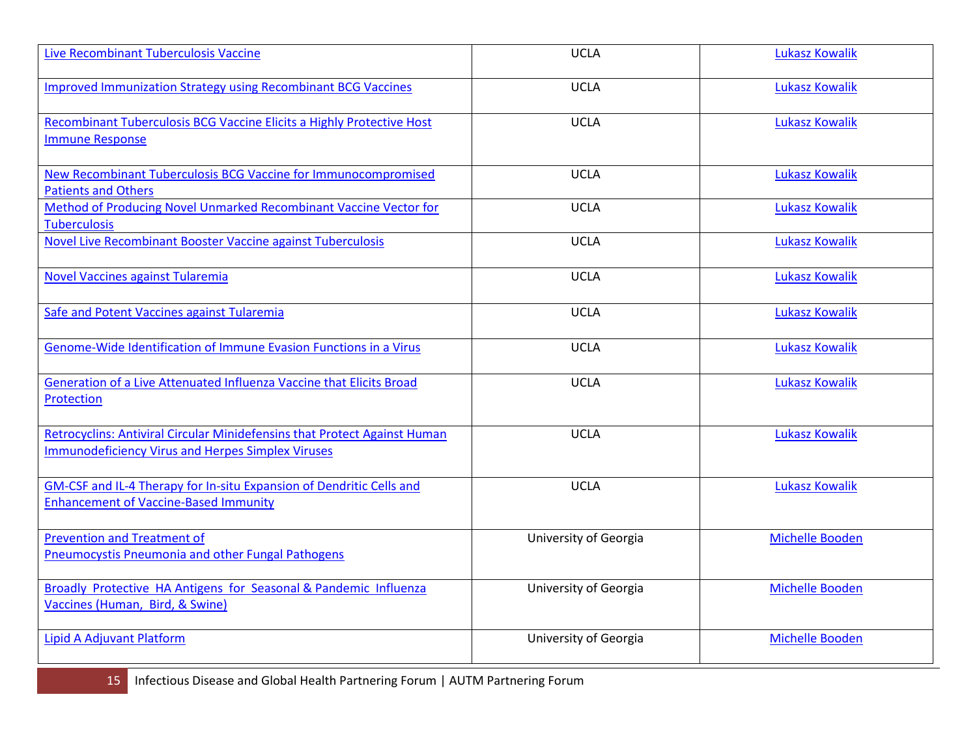| Live Recombinant Tuberculosis Vaccine                                                                                                        | <b>UCLA</b>           | <b>Lukasz Kowalik</b>  |
|----------------------------------------------------------------------------------------------------------------------------------------------|-----------------------|------------------------|
| <b>Improved Immunization Strategy using Recombinant BCG Vaccines</b>                                                                         | <b>UCLA</b>           | <b>Lukasz Kowalik</b>  |
| Recombinant Tuberculosis BCG Vaccine Elicits a Highly Protective Host<br><b>Immune Response</b>                                              | <b>UCLA</b>           | <b>Lukasz Kowalik</b>  |
| New Recombinant Tuberculosis BCG Vaccine for Immunocompromised<br><b>Patients and Others</b>                                                 | <b>UCLA</b>           | <b>Lukasz Kowalik</b>  |
| Method of Producing Novel Unmarked Recombinant Vaccine Vector for<br><b>Tuberculosis</b>                                                     | <b>UCLA</b>           | <b>Lukasz Kowalik</b>  |
| <b>Novel Live Recombinant Booster Vaccine against Tuberculosis</b>                                                                           | <b>UCLA</b>           | <b>Lukasz Kowalik</b>  |
| <b>Novel Vaccines against Tularemia</b>                                                                                                      | <b>UCLA</b>           | <b>Lukasz Kowalik</b>  |
| Safe and Potent Vaccines against Tularemia                                                                                                   | <b>UCLA</b>           | <b>Lukasz Kowalik</b>  |
| Genome-Wide Identification of Immune Evasion Functions in a Virus                                                                            | <b>UCLA</b>           | <b>Lukasz Kowalik</b>  |
| Generation of a Live Attenuated Influenza Vaccine that Elicits Broad<br>Protection                                                           | <b>UCLA</b>           | <b>Lukasz Kowalik</b>  |
| <b>Retrocyclins: Antiviral Circular Minidefensins that Protect Against Human</b><br><b>Immunodeficiency Virus and Herpes Simplex Viruses</b> | <b>UCLA</b>           | <b>Lukasz Kowalik</b>  |
| GM-CSF and IL-4 Therapy for In-situ Expansion of Dendritic Cells and<br><b>Enhancement of Vaccine-Based Immunity</b>                         | <b>UCLA</b>           | <b>Lukasz Kowalik</b>  |
| <b>Prevention and Treatment of</b><br><b>Pneumocystis Pneumonia and other Fungal Pathogens</b>                                               | University of Georgia | <b>Michelle Booden</b> |
| Broadly Protective HA Antigens for Seasonal & Pandemic Influenza<br>Vaccines (Human, Bird, & Swine)                                          | University of Georgia | Michelle Booden        |
| Lipid A Adjuvant Platform                                                                                                                    | University of Georgia | Michelle Booden        |